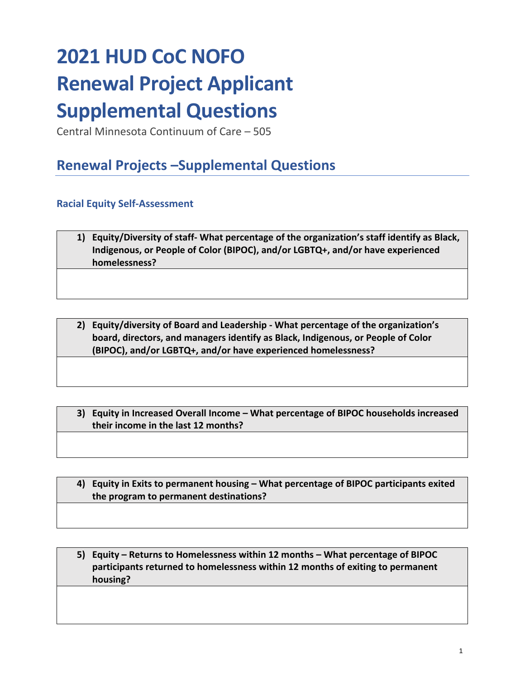# **2021 HUD CoC NOFO Renewal Project Applicant Supplemental Questions**

Central Minnesota Continuum of Care – 505

# **Renewal Projects –Supplemental Questions**

## **Racial Equity Self-Assessment**

| 1) Equity/Diversity of staff- What percentage of the organization's staff identify as Black, |
|----------------------------------------------------------------------------------------------|
| Indigenous, or People of Color (BIPOC), and/or LGBTQ+, and/or have experienced               |
| homelessness?                                                                                |

**2) Equity/diversity of Board and Leadership - What percentage of the organization's board, directors, and managers identify as Black, Indigenous, or People of Color (BIPOC), and/or LGBTQ+, and/or have experienced homelessness?**

**3) Equity in Increased Overall Income – What percentage of BIPOC households increased their income in the last 12 months?**

**4) Equity in Exits to permanent housing – What percentage of BIPOC participants exited the program to permanent destinations?**

**5) Equity – Returns to Homelessness within 12 months – What percentage of BIPOC participants returned to homelessness within 12 months of exiting to permanent housing?**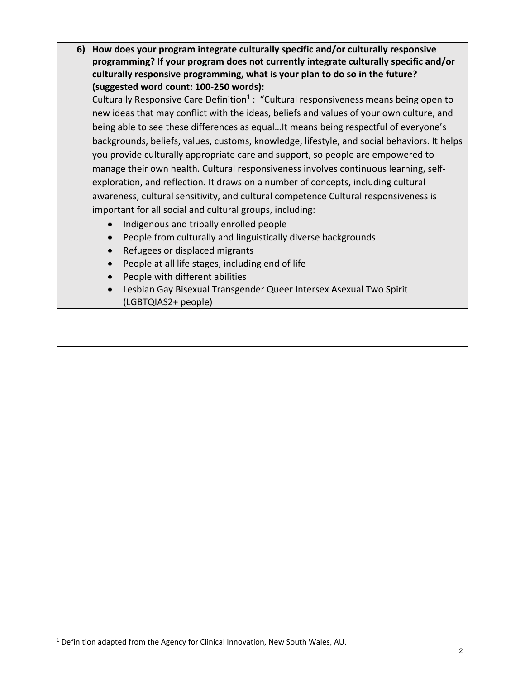**6) How does your program integrate culturally specific and/or culturally responsive programming? If your program does not currently integrate culturally specific and/or culturally responsive programming, what is your plan to do so in the future? (suggested word count: 100-250 words):** 

Culturally Responsive Care Definition<sup>1</sup>: "Cultural responsiveness means being open to new ideas that may conflict with the ideas, beliefs and values of your own culture, and being able to see these differences as equal…It means being respectful of everyone's backgrounds, beliefs, values, customs, knowledge, lifestyle, and social behaviors. It helps you provide culturally appropriate care and support, so people are empowered to manage their own health. Cultural responsiveness involves continuous learning, selfexploration, and reflection. It draws on a number of concepts, including cultural awareness, cultural sensitivity, and cultural competence Cultural responsiveness is important for all social and cultural groups, including:

- Indigenous and tribally enrolled people
- People from culturally and linguistically diverse backgrounds
- Refugees or displaced migrants
- People at all life stages, including end of life
- People with different abilities
- Lesbian Gay Bisexual Transgender Queer Intersex Asexual Two Spirit (LGBTQIAS2+ people)

<sup>1</sup> Definition adapted from the Agency for Clinical Innovation, New South Wales, AU.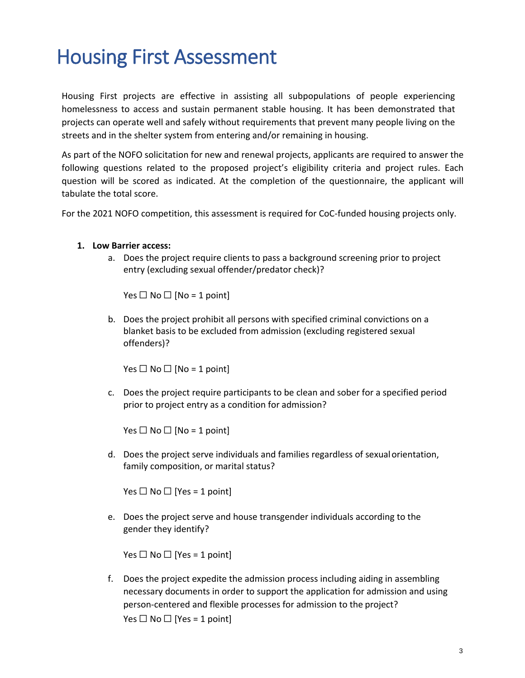# Housing First Assessment

Housing First projects are effective in assisting all subpopulations of people experiencing homelessness to access and sustain permanent stable housing. It has been demonstrated that projects can operate well and safely without requirements that prevent many people living on the streets and in the shelter system from entering and/or remaining in housing.

As part of the NOFO solicitation for new and renewal projects, applicants are required to answer the following questions related to the proposed project's eligibility criteria and project rules. Each question will be scored as indicated. At the completion of the questionnaire, the applicant will tabulate the total score.

For the 2021 NOFO competition, this assessment is required for CoC-funded housing projects only.

#### **1. Low Barrier access:**

a. Does the project require clients to pass a background screening prior to project entry (excluding sexual offender/predator check)?

Yes  $\Box$  No  $\Box$  [No = 1 point]

b. Does the project prohibit all persons with specified criminal convictions on a blanket basis to be excluded from admission (excluding registered sexual offenders)?

Yes  $\Box$  No  $\Box$  [No = 1 point]

c. Does the project require participants to be clean and sober for a specified period prior to project entry as a condition for admission?

Yes  $\Box$  No  $\Box$  [No = 1 point]

d. Does the project serve individuals and families regardless of sexualorientation, family composition, or marital status?

Yes  $\Box$  No  $\Box$  [Yes = 1 point]

e. Does the project serve and house transgender individuals according to the gender they identify?

Yes  $\Box$  No  $\Box$  [Yes = 1 point]

f. Does the project expedite the admission process including aiding in assembling necessary documents in order to support the application for admission and using person-centered and flexible processes for admission to the project? Yes  $\Box$  No  $\Box$  [Yes = 1 point]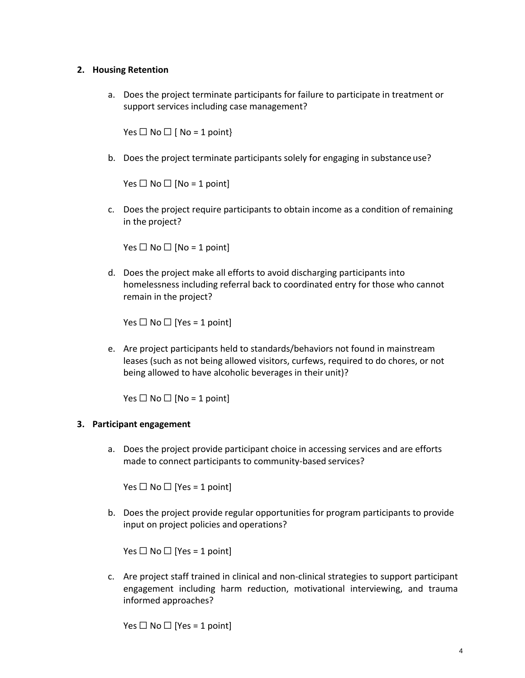### **2. Housing Retention**

a. Does the project terminate participants for failure to participate in treatment or support services including case management?

Yes  $\Box$  No  $\Box$  [ No = 1 point}

b. Does the project terminate participants solely for engaging in substance use?

Yes  $\Box$  No  $\Box$  [No = 1 point]

c. Does the project require participants to obtain income as a condition of remaining in the project?

Yes  $\Box$  No  $\Box$  [No = 1 point]

d. Does the project make all efforts to avoid discharging participants into homelessness including referral back to coordinated entry for those who cannot remain in the project?

Yes  $\Box$  No  $\Box$  [Yes = 1 point]

e. Are project participants held to standards/behaviors not found in mainstream leases (such as not being allowed visitors, curfews, required to do chores, or not being allowed to have alcoholic beverages in their unit)?

Yes  $\Box$  No  $\Box$  [No = 1 point]

#### **3. Participant engagement**

a. Does the project provide participant choice in accessing services and are efforts made to connect participants to community-based services?

Yes  $\Box$  No  $\Box$  [Yes = 1 point]

b. Does the project provide regular opportunities for program participants to provide input on project policies and operations?

Yes  $\Box$  No  $\Box$  [Yes = 1 point]

c. Are project staff trained in clinical and non-clinical strategies to support participant engagement including harm reduction, motivational interviewing, and trauma informed approaches?

Yes  $\Box$  No  $\Box$  [Yes = 1 point]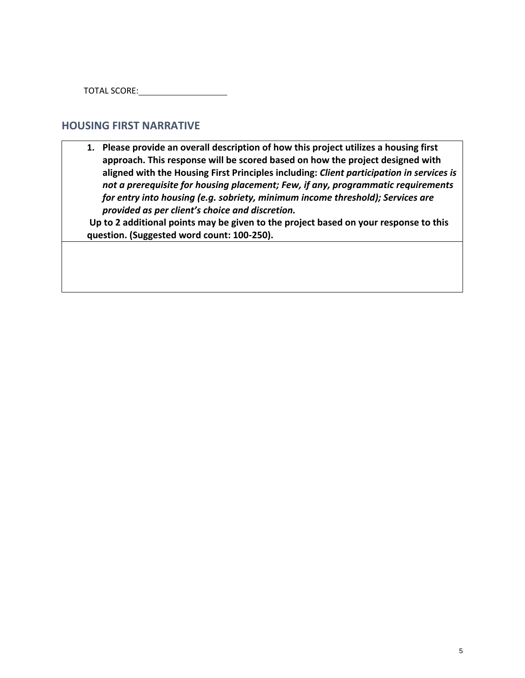TOTAL SCORE:

### **HOUSING FIRST NARRATIVE**

**1. Please provide an overall description of how this project utilizes a housing first approach. This response will be scored based on how the project designed with aligned with the Housing First Principles including:** *Client participation in services is not a prerequisite for housing placement; Few, if any, programmatic requirements for entry into housing (e.g. sobriety, minimum income threshold); Services are provided as per client's choice and discretion.*

**Up to 2 additional points may be given to the project based on your response to this question. (Suggested word count: 100-250).**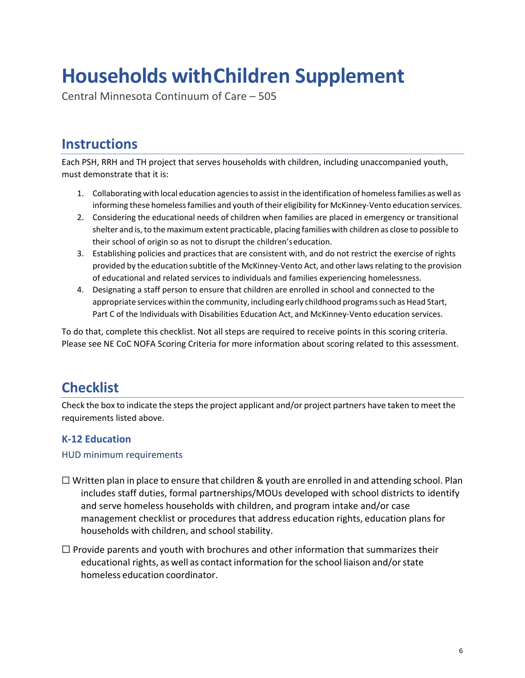# **Households withChildren Supplement**

Central Minnesota Continuum of Care – 505

# **Instructions**

Each PSH, RRH and TH project that serves households with children, including unaccompanied youth, must demonstrate that it is:

- 1. Collaborating with local education agencies to assist in the identification of homeless families as well as informing these homelessfamilies and youth of their eligibility for McKinney-Vento education services.
- 2. Considering the educational needs of children when families are placed in emergency or transitional shelter and is, to the maximum extent practicable, placing families with children as close to possible to their school of origin so as not to disrupt the children'seducation.
- 3. Establishing policies and practices that are consistent with, and do not restrict the exercise of rights provided by the education subtitle of the McKinney-Vento Act, and other lawsrelating to the provision of educational and related services to individuals and families experiencing homelessness.
- 4. Designating a staff person to ensure that children are enrolled in school and connected to the appropriate services within the community, including early childhood programssuch as Head Start, Part C of the Individuals with Disabilities Education Act, and McKinney-Vento education services.

To do that, complete this checklist. Not all steps are required to receive points in this scoring criteria. Please see NE CoC NOFA Scoring Criteria for more information about scoring related to this assessment.

# **Checklist**

Check the box to indicate the steps the project applicant and/or project partners have taken to meet the requirements listed above.

## **K-12 Education**

### HUD minimum requirements

- $\Box$  Written plan in place to ensure that children & youth are enrolled in and attending school. Plan includes staff duties, formal partnerships/MOUs developed with school districts to identify and serve homeless households with children, and program intake and/or case management checklist or procedures that address education rights, education plans for households with children, and school stability.
- $\Box$  Provide parents and youth with brochures and other information that summarizes their educational rights, as well as contact information for the school liaison and/orstate homeless education coordinator.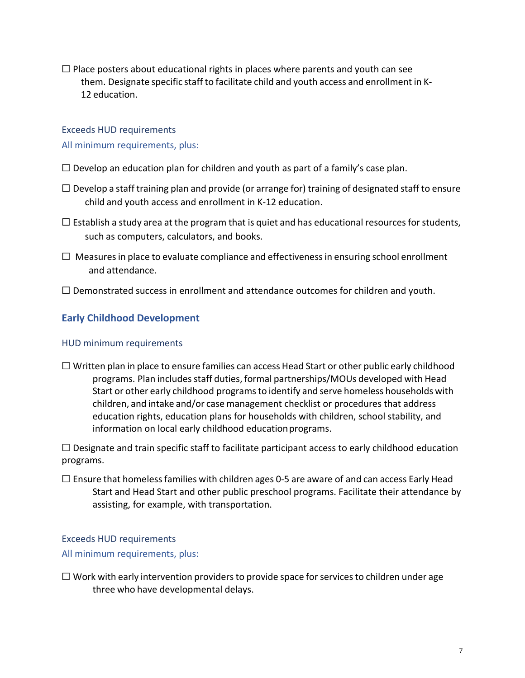$\Box$  Place posters about educational rights in places where parents and youth can see them. Designate specific staff to facilitate child and youth access and enrollment in K-12 education.

## Exceeds HUD requirements All minimum requirements, plus:

- $\Box$  Develop an education plan for children and youth as part of a family's case plan.
- $\Box$  Develop a staff training plan and provide (or arrange for) training of designated staff to ensure child and youth access and enrollment in K-12 education.
- $\Box$  Establish a study area at the program that is quiet and has educational resources for students, such as computers, calculators, and books.
- $\Box$  Measures in place to evaluate compliance and effectiveness in ensuring school enrollment and attendance.
- $\Box$  Demonstrated success in enrollment and attendance outcomes for children and youth.

### **Early Childhood Development**

### HUD minimum requirements

 $\Box$  Written plan in place to ensure families can access Head Start or other public early childhood programs. Plan includes staff duties, formal partnerships/MOUs developed with Head Start or other early childhood programsto identify and serve homeless households with children, and intake and/or case management checklist or procedures that address education rights, education plans for households with children, school stability, and information on local early childhood educationprograms.

 $\Box$  Designate and train specific staff to facilitate participant access to early childhood education programs.

 $\Box$  Ensure that homeless families with children ages 0-5 are aware of and can access Early Head Start and Head Start and other public preschool programs. Facilitate their attendance by assisting, for example, with transportation.

### Exceeds HUD requirements

### All minimum requirements, plus:

 $\Box$  Work with early intervention providers to provide space for services to children under age three who have developmental delays.